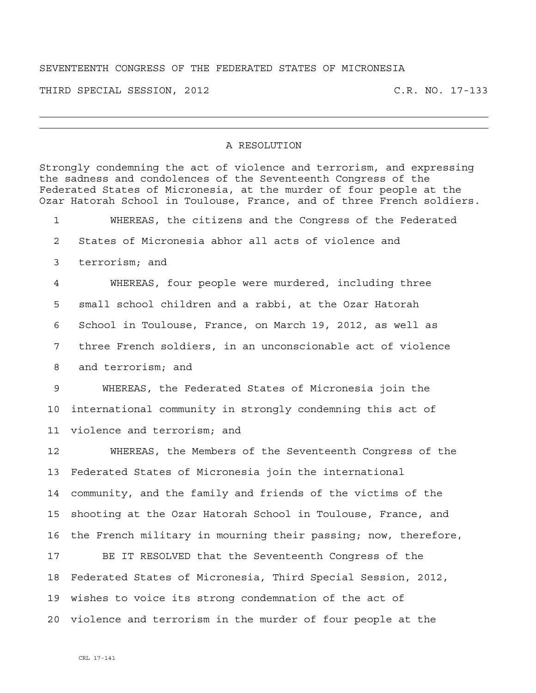## SEVENTEENTH CONGRESS OF THE FEDERATED STATES OF MICRONESIA

THIRD SPECIAL SESSION, 2012 C.R. NO. 17-133

## A RESOLUTION

Strongly condemning the act of violence and terrorism, and expressing the sadness and condolences of the Seventeenth Congress of the Federated States of Micronesia, at the murder of four people at the Ozar Hatorah School in Toulouse, France, and of three French soldiers. 1 WHEREAS, the citizens and the Congress of the Federated 2 States of Micronesia abhor all acts of violence and 3 terrorism; and 4 WHEREAS, four people were murdered, including three 5 small school children and a rabbi, at the Ozar Hatorah 6 School in Toulouse, France, on March 19, 2012, as well as 7 three French soldiers, in an unconscionable act of violence 8 and terrorism; and 9 WHEREAS, the Federated States of Micronesia join the 10 international community in strongly condemning this act of 11 violence and terrorism; and 12 WHEREAS, the Members of the Seventeenth Congress of the 13 Federated States of Micronesia join the international 14 community, and the family and friends of the victims of the 15 shooting at the Ozar Hatorah School in Toulouse, France, and 16 the French military in mourning their passing; now, therefore, 17 BE IT RESOLVED that the Seventeenth Congress of the 18 Federated States of Micronesia, Third Special Session, 2012, 19 wishes to voice its strong condemnation of the act of 20 violence and terrorism in the murder of four people at the